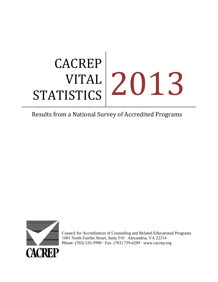# CACREP VITAL STATISTICS 2013

# Results from a National Survey of Accredited Programs



Council for Accreditation of Counseling and Related Educational Programs 1001 North Fairfax Street, Suite 510 ∙ Alexandria, VA 22314 Phone: (703) 535-5990 ∙ Fax: (703) 739-6209 ∙ [www.cacrep.org](http://www.cacrep.org/)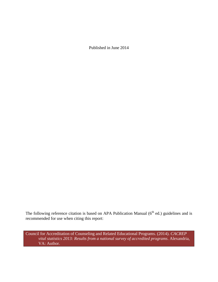Published in June 2014

The following reference citation is based on APA Publication Manual  $(6<sup>th</sup>$  ed.) guidelines and is recommended for use when citing this report:

Council for Accreditation of Counseling and Related Educational Programs. (2014). *CACREP vital statistics 2013: Results from a national survey of accredited programs*. Alexandria, VA: Author.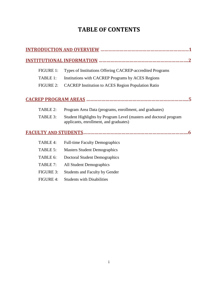# **TABLE OF CONTENTS**

| <b>FIGURE 1:</b> | Types of Institutions Offering CACREP-accredited Programs                                                   |  |
|------------------|-------------------------------------------------------------------------------------------------------------|--|
| TABLE 1:         | Institutions with CACREP Programs by ACES Regions                                                           |  |
| <b>FIGURE 2:</b> | <b>CACREP Institution to ACES Region Population Ratio</b>                                                   |  |
|                  |                                                                                                             |  |
| TABLE 2:         | Program Area Data (programs, enrollment, and graduates)                                                     |  |
| TABLE 3:         | Student Highlights by Program Level (masters and doctoral program<br>applicants, enrollment, and graduates) |  |
|                  |                                                                                                             |  |
| TABLE 4:         | <b>Full-time Faculty Demographics</b>                                                                       |  |
| TABLE 5:         | <b>Masters Student Demographics</b>                                                                         |  |
| TABLE 6:         | <b>Doctoral Student Demographics</b>                                                                        |  |
| TABLE 7:         | All Student Demographics                                                                                    |  |
| <b>FIGURE 3:</b> | Students and Faculty by Gender                                                                              |  |
| <b>FIGURE 4:</b> | <b>Students with Disabilities</b>                                                                           |  |
|                  |                                                                                                             |  |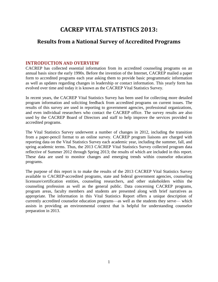# **CACREP VITAL STATISTICS 2013:**

# **Results from a National Survey of Accredited Programs**

# **INTRODUCTION AND OVERVIEW**

CACREP has collected essential information from its accredited counseling programs on an annual basis since the early 1990s. Before the invention of the Internet, CACREP mailed a paper form to accredited programs each year asking them to provide basic programmatic information as well as updates regarding changes in leadership or contact information. This yearly form has evolved over time and today it is known as the CACREP Vital Statistics Survey.

In recent years, the CACREP Vital Statistics Survey has been used for collecting more detailed program information and soliciting feedback from accredited programs on current issues. The results of this survey are used in reporting to government agencies, professional organizations, and even individual researchers who contact the CACREP office. The survey results are also used by the CACREP Board of Directors and staff to help improve the services provided to accredited programs.

The Vital Statistics Survey underwent a number of changes in 2012, including the transition from a paper-pencil format to an online survey. CACREP program liaisons are charged with reporting data on the Vital Statistics Survey each academic year, including the summer, fall, and spring academic terms. Thus, the 2013 CACREP Vital Statistics Survey collected program data reflective of Summer 2012 through Spring 2013; the results of which are included in this report. These data are used to monitor changes and emerging trends within counselor education programs.

The purpose of this report is to make the results of the 2013 CACREP Vital Statistics Survey available to CACREP-accredited programs, state and federal government agencies, counseling licensure/certification entities, counseling researchers, and other stakeholders within the counseling profession as well as the general public. Data concerning CACREP programs, program areas, faculty members and students are presented along with brief narratives as appropriate. The information in this Vital Statistics Report offers a unique description of currently accredited counselor education programs—as well as the students they serve— which assists in providing an environmental context that is helpful for understanding counselor preparation in 2013.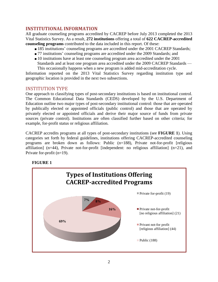# **INSTITUTIONAL INFORMATION**

All graduate counseling programs accredited by CACREP before July 2013 completed the 2013 Vital Statistics Survey. As a result, **272 institutions** offering a total of **622 CACREP-accredited counseling programs** contributed to the data included in this report. Of these:

- $\blacksquare$  185 institutions' counseling programs are accredited under the 2001 CACREP Standards;
- 77 institutions' counseling programs are accredited under the 2009 Standards; and
- 10 institutions have at least one counseling program area accredited under the 2001 Standards and at least one program area accredited under the 2009 CACREP Standards —

This occasionally happens when a new program is added mid-accreditation cycle. Information reported on the 2013 Vital Statistics Survey regarding institution type and geographic location is provided in the next two subsections.

## INSTITUTION TYPE

One approach to classifying types of post-secondary institutions is based on institutional control. The Common Educational Data Standards (CEDS) developed by the U.S. Department of Education outline two major types of post-secondary institutional control: those that are operated by publically elected or appointed officials (public control) and those that are operated by privately elected or appointed officials and derive their major source of funds from private sources (private control). Institutions are often classified further based on other criteria; for example, for-profit status or religious affiliation.

CACREP accredits programs at all types of post-secondary institutions (see **FIGURE 1**). Using categories set forth by federal guidelines, institutions offering CACREP-accredited counseling programs are broken down as follows: Public (n=188), Private not-for-profit [religious affiliation] (n=44), Private not-for-profit [independent: no religious affiliation] (n=21), and Private for-profit (n=19).



# **FIGURE 1**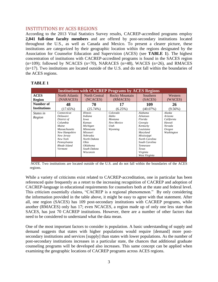## INSTITUTIONS BY ACES REGIONS

According to the 2013 Vital Statistics Survey results, CACREP-accredited programs employ **2,041 full-time faculty members** and are offered by post-secondary institutions located throughout the U.S., as well as Canada and Mexico. To present a clearer picture, these institutions are categorized by their geographic location within the regions designated by the Association for Counselor Education and Supervision (ACES) (see **TABLE 1**). The highest concentration of institutions with CACREP-accredited programs is found in the SACES region  $(n=109)$ ; followed by NCACES  $(n=70)$ , NARACES  $(n=48)$ , WACES  $(n=26)$ , and RMACES (n=17). Two institutions are located outside of the U.S. and do not fall within the boundaries of the ACES regions.

| <b>Institutions with CACREP Programs by ACES Regions</b> |                                                                                                                                                                                  |                                                                                                                                                                                     |                                                                      |                                                                                                                                                                                      |                                                                             |  |  |
|----------------------------------------------------------|----------------------------------------------------------------------------------------------------------------------------------------------------------------------------------|-------------------------------------------------------------------------------------------------------------------------------------------------------------------------------------|----------------------------------------------------------------------|--------------------------------------------------------------------------------------------------------------------------------------------------------------------------------------|-----------------------------------------------------------------------------|--|--|
| <b>ACES</b>                                              | North Atlantic                                                                                                                                                                   | <b>North Central</b>                                                                                                                                                                | <b>Rocky Mountain</b>                                                | Southern                                                                                                                                                                             | Western                                                                     |  |  |
| Region                                                   | (NARACES)                                                                                                                                                                        | (NCACES)                                                                                                                                                                            | (RMACES)                                                             | (SACES)                                                                                                                                                                              | (WACES)                                                                     |  |  |
| Number of                                                | 48                                                                                                                                                                               | 70                                                                                                                                                                                  | 17                                                                   | 109                                                                                                                                                                                  | 26                                                                          |  |  |
| <b>Institutions</b>                                      | (17.65%)                                                                                                                                                                         | (25.74%)                                                                                                                                                                            | (6.25%)                                                              | $(40.07\%)$                                                                                                                                                                          | $(9.56\%)$                                                                  |  |  |
| <i>States in</i><br>Region                               | Connecticut<br><b>Delaware</b><br>District of<br>Columbia<br>Maine<br><b>Massachusetts</b><br>New Hampshire<br>New Jersey<br>New York<br>Pennsylvania<br>Rhode Island<br>Vermont | <i>Illinois</i><br><i>Indiana</i><br>Iowa<br>Kansas<br>Michigan<br>Minnesota<br><i>Missouri</i><br>Nebraska<br>North Dakota<br>Ohio<br><i>Oklahoma</i><br>South Dakota<br>Wisconsin | Colorado<br><i>Idaho</i><br>Montana<br>New Mexico<br>Utah<br>Wyoming | Alabama<br>Arkansas<br>Florida<br>Georgia<br>Kentucky<br>Louisiana<br>Maryland<br>Mississippi<br>North Carolina<br>South Carolina<br>Tennessee<br>Texas<br>Virginia<br>West Virginia | Alaska<br>Arizona<br>California<br>Hawaii<br>Nevada<br>Oregon<br>Washington |  |  |

#### **TABLE 1**

*NOTE.* Two institutions are located outside of the U.S. and do not fall within the boundaries of the ACES regions.

While a variety of criticisms exist related to CACREP-accreditation, one in particular has been referenced quite frequently as a retort to the increasing recognition of CACREP and adoption of CACREP-language in educational requirements for counselors both at the state and federal level. This criticism essentially claims, "CACREP is a regional phenomenon." By only considering the information provided in the table above, it might be easy to agree with that statement. After all, one region (SACES) has 109 post-secondary institutions with CACREP programs, while another (RMACES) only has 17; even NCACES, a region made up of only one less state than SACES, has just 70 CACREP institutions. However, there are a number of other factors that need to be considered to understand what the data mean.

One of the most important factors to consider is population. A basic understanding of supply and demand suggests that states with higher populations would require [demand] more postsecondary institutions and services [supply] than states with lower populations. As the number of post-secondary institutions increases in a particular state, the chances that additional graduate counseling programs will be developed also increases. This same concept can be applied when examining the geographic locations of CACREP programs across ACES regions.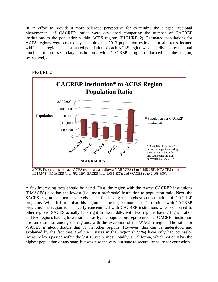In an effort to provide a more balanced perspective for examining the alleged "regional phenomenon" of CACREP, ratios were developed comparing the number of CACREP institutions to the population within ACES regions (**FIGURE 2**). Estimated populations for ACES regions were created by summing the 2013 population estimate for all states located within each region. The estimated population of each ACES region was then divided by the total number of post-secondary institutions with CACREP programs located in the region, respectively.



## **FIGURE 2**

*NOTE.* Exact ratios for each ACES region are as follows: NARACES (1 to 1,198,235); NCACES (1 to 1,019,978); RMACES (1 to 792,029); SACES (1 to 1,036,337); and WACES (1 to 2,108,690).

A few interesting facts should be noted. First, the region with the fewest CACREP institutions (RMACES) also has the lowest (i.e., most preferable) institution to population ratio. Next, the SACES region is often negatively cited for having the highest concentration of CACREP programs. While it is true that this region has the highest number of institutions with CACREP programs, the region is not overly concentrated with CACREP institutions when compared to other regions. SACES actually falls right in the middle, with two regions having higher ratios and two regions having lower ratios. Lastly, the populations represented per CACREP institution are fairly similar among the regions, with the exception of the WACES region. The ratio for WACES is about double that of the other regions. However, this can be understood and explained by the fact that 3 of the 7 states in that region (42.9%) have only had counselor licensure laws passed within the last 10 years; most notably is California, which not only has the highest population of any state, but was also the very last state to secure licensure for counselors.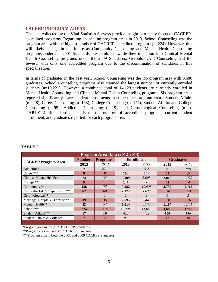## **CACREP PROGRAM AREAS**

The data collected by the Vital Statistics Surveys provide insight into many facets of CACREPaccredited programs. Regarding counseling program areas in 2013, School Counseling was the program area with the highest number of CACREP-accredited programs (n=224). However, this will likely change in the future as Community Counseling and Mental Health Counseling programs under the 2001 Standards are combined while they transition into Clinical Mental Health Counseling programs under the 2009 Standards. Gerontological Counseling had the fewest, with only one accredited program due to the discontinuation of standards in this specialization.

In terms of graduates in the past year, School Counseling was the top program area with 3,680 graduates. School Counseling programs also claimed the largest number of currently enrolled students (n=10,221). However, a combined total of 14,123 students are currently enrolled in Mental Health Counseling and Clinical Mental Health Counseling programs. Six program areas reported significantly lower student enrollments than the other program areas: Student Affairs (n=428), Career Counseling (n=168), College Counseling (n=147), Student Affairs and College Counseling (n=95), Addiction Counseling (n=19), and Gerontological Counseling (n=2). **TABLE 2** offers further details on the number of accredited programs, current student enrollment, and graduates reported for each program area.

| Program Area Data (2012-2013)  |                           |                |                   |        |                  |       |  |
|--------------------------------|---------------------------|----------------|-------------------|--------|------------------|-------|--|
|                                | <b>Number of Programs</b> |                | <b>Enrollment</b> |        | <b>Graduates</b> |       |  |
| <b>CACREP Program Area</b>     | 2013                      | 2012           | 2013              | 2012   | 2013             | 2012  |  |
| Addiction*                     | 2                         | N/A            | 19                | N/A    | 9                | N/A   |  |
| Career***                      | 8                         | 8              | 168               | 167    | 51               | 59    |  |
| Clinical Mental Health*        | 74                        | 34             | 8,109             | 5,003  | 2,066            | 1,022 |  |
| College**                      | 9                         | 11             | 147               | 179    | 43               | 54    |  |
| Community**                    | 136                       | 155            | 9,582             | 10.903 | 2.737            | 3,015 |  |
| Counselor Ed. & Supervision*** | 62                        | 60             | 2,122             | 2,028  | 326              | 323   |  |
| Gerontological**               | 1                         |                | $\mathbf{2}$      | 9      | $\mathbf{0}$     | 3     |  |
| Marriage, Couple, & Family***  | 39                        | 36             | 2,595             | 2,446  | 828              | 576   |  |
| Mental Health**                | 43                        | 54             | 6,014             | 6.742  | 1,167            | 1,201 |  |
| School***                      | 224                       | 218            | 10,221            | 11,042 | 3,680            | 3,843 |  |
| Student Affairs**              | 17                        | 19             | 428               | 423    | <b>150</b>       | 146   |  |
| Student Affairs & College*     | 7                         | $\overline{4}$ | 95                | 63     | 42               | 18    |  |

#### **TABLE 2**

\*Program area in the 2009 CACREP Standards.

\*\*Program area in the 2001 CACREP Standards.

\*\*\*Program area in both the 2001 and 2009 CACREP Standards.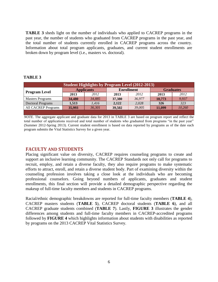**TABLE 3** sheds light on the number of individuals who applied to CACREP programs in the past year, the number of students who graduated from CACREP programs in the past year, and the total number of students currently enrolled in CACREP programs across the country. Information about total program applicants, graduates, and current student enrollments are broken down by program level (i.e., masters vs. doctoral).

### **TABLE 3**

| <b>Student Highlights by Program Level (2012-2013)</b> |                   |        |                   |        |                  |        |  |  |
|--------------------------------------------------------|-------------------|--------|-------------------|--------|------------------|--------|--|--|
|                                                        | <b>Applicants</b> |        | <b>Enrollment</b> |        | <b>Graduates</b> |        |  |  |
| <b>Program Level</b>                                   | 2013              | 2012   | 2013              | 2012   | 2013             | 2012   |  |  |
| <b>Masters Programs</b>                                | 34,480            | 34,885 | 37,380            | 36,977 | 10,773           | 9,937  |  |  |
| <b>Doctoral Programs</b>                               | 1,513             | 1,416  | 2,122             | 2,028  | 326              | 323    |  |  |
| <b>All CACREP Programs</b>                             | 35,993            | 36.301 | 39,502            | 39,005 | 11.099           | 10,260 |  |  |
|                                                        |                   |        |                   |        |                  |        |  |  |

*NOTE*. The aggregate applicant and graduate data for 2013 in TABLE 3 are based on program report and reflect the total number of applications received and total number of students who graduated from programs "in the past year" (Summer 2012-Spring 2013). Current student enrollment is based on data reported by programs as of the date each program submits the Vital Statistics Survey for a given year.

# **FACULTY AND STUDENTS**

Placing significant value on diversity, CACREP requires counseling programs to create and support an inclusive learning community. The CACREP Standards not only call for programs to recruit, employ, and retain a diverse faculty, they also require programs to make systematic efforts to attract, enroll, and retain a diverse student body. Part of examining diversity within the counseling profession involves taking a close look at the individuals who are becoming professional counselors. Going beyond numbers of applicants, graduates and student enrollments, this final section will provide a detailed demographic perspective regarding the makeup of full-time faculty members and students in CACREP programs.

Racial/ethnic demographic breakdowns are reported for full-time faculty members (**TABLE 4**), CACREP masters students (**TABLE 5**), CACREP doctoral students (**TABLE 6**), and all CACREP graduate students combined (**TABLE 7**). Lastly, **FIGURE 3** illustrates the gender differences among students and full-time faculty members in CACREP-accredited programs followed by **FIGURE 4** which highlights information about students with disabilities as reported by programs on the 2013 CACREP Vital Statistics Survey.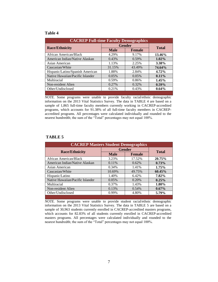#### **Table 4**

| <b>CACREP Full-time Faculty Demographics</b> |               |               |          |  |  |  |
|----------------------------------------------|---------------|---------------|----------|--|--|--|
| <b>Race/Ethnicity</b>                        | <b>Gender</b> | <b>Total</b>  |          |  |  |  |
|                                              | <b>Male</b>   | <b>Female</b> |          |  |  |  |
| African American/Black                       | 4.29%         | 9.17%         | 13.46%   |  |  |  |
| American Indian/Native Alaskan               | 0.43%         | 0.59%         | $1.02\%$ |  |  |  |
| Asian American                               | 1.13%         | 2.25%         | 3.38%    |  |  |  |
| Caucasian/White                              | 31.15%        | 43.49%        | 74.64%   |  |  |  |
| Hispanic/Latino/Spanish American             | 1.88%         | 2.84%         | $4.72\%$ |  |  |  |
| Native Hawaiian/Pacific Islander             | 0.05%         | 0.05%         | $0.11\%$ |  |  |  |
| Multiracial                                  | 0.59%         | 0.86%         | 1.45%    |  |  |  |
| Non-resident Alien                           | 0.27%         | 0.32%         | $0.59\%$ |  |  |  |
| Other/Undisclosed                            | 0.21%         | 0.43%         | $0.64\%$ |  |  |  |
|                                              |               |               |          |  |  |  |

*NOTE.* Some programs were unable to provide faculty racial/ethnic demographic information on the 2013 Vital Statistics Survey. The data in TABLE 4 are based on a sample of 1,865 full-time faculty members currently working in CACREP-accredited programs, which accounts for 91.38% of all full-time faculty members in CACREPaccredited programs. All percentages were calculated individually and rounded to the nearest hundredth; the sum of the "Total" percentages may not equal 100%.

### **TABLE 5**

| <b>CACREP Masters Student Demographics</b> |               |               |          |  |  |  |
|--------------------------------------------|---------------|---------------|----------|--|--|--|
| <b>Race/Ethnicity</b>                      | <b>Gender</b> | <b>Total</b>  |          |  |  |  |
|                                            | <b>Male</b>   | <b>Female</b> |          |  |  |  |
| African American/Black                     | 3.23%         | 17.52%        | 20.75%   |  |  |  |
| American Indian/Native Alaskan             | 0.11%         | 0.62%         | 0.73%    |  |  |  |
| Asian American                             | 0.34%         | 1.41%         | 1.75%    |  |  |  |
| Caucasian/White                            | 10.69%        | 49.75%        | 60.45%   |  |  |  |
| Hispanic/Latino                            | 1.40%         | 6.42%         | 7.82%    |  |  |  |
| Native Hawaiian/Pacific Islander           | 0.05%         | 0.20%         | 0.25%    |  |  |  |
| Multiracial                                | 0.37%         | 1.43%         | 1.80%    |  |  |  |
| Non-resident Alien                         | 0.13%         | 0.54%         | $0.67\%$ |  |  |  |
| Other/Undisclosed                          | 0.99%         | 4.80%         | 5.79%    |  |  |  |
|                                            |               |               |          |  |  |  |

*NOTE.* Some programs were unable to provide student racial/ethnic demographic information on the 2013 Vital Statistics Survey. The data in TABLE 5 are based on a sample of 30,963 students currently enrolled in CACREP-accredited masters programs, which accounts for 82.83% of all students currently enrolled in CACREP-accredited masters programs. All percentages were calculated individually and rounded to the nearest hundredth; the sum of the "Total" percentages may not equal 100%.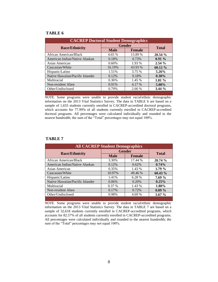#### **TABLE 6**

| <b>CACREP Doctoral Student Demographics</b> |               |               |          |  |  |  |
|---------------------------------------------|---------------|---------------|----------|--|--|--|
|                                             | <b>Gender</b> | <b>Total</b>  |          |  |  |  |
| <b>Race/Ethnicity</b>                       | <b>Male</b>   | <b>Female</b> |          |  |  |  |
| African American/Black                      | 4.65 %        | 15.89 %       | 20.54 %  |  |  |  |
| American Indian/Native Alaskan              | 0.18%         | 0.73%         | $0.91\%$ |  |  |  |
| Asian American                              | $0.60\%$      | 1.93 %        | 2.54%    |  |  |  |
| Caucasian/White                             | 16.19%        | 43.93 %       | 60.12 %  |  |  |  |
| Hispanic/Latino                             | 1.51%         | 3.75 %        | 5.26%    |  |  |  |
| Native Hawaiian/Pacific Islander            | 0.12%         | 0.18%         | $0.30\%$ |  |  |  |
| Multiracial                                 | 0.36%         | 1.45 %        | $1.81\%$ |  |  |  |
| Non-resident Alien                          | 0.91%         | 4.17 %        | 5.08%    |  |  |  |
| Other/Undisclosed                           | 0.79%         | 2.66 %        | 3.44%    |  |  |  |
|                                             |               |               |          |  |  |  |

*NOTE.* Some programs were unable to provide student racial/ethnic demographic information on the 2013 Vital Statistics Survey. The data in TABLE 6 are based on a sample of 1,655 students currently enrolled in CACREP-accredited doctoral programs, which accounts for 77.99% of all students currently enrolled in CACREP-accredited doctoral programs. All percentages were calculated individually and rounded to the nearest hundredth; the sum of the "Total" percentages may not equal 100%.

#### **TABLE 7**

| <b>All CACREP Student Demographics</b> |               |               |              |  |  |  |
|----------------------------------------|---------------|---------------|--------------|--|--|--|
|                                        | <b>Gender</b> |               |              |  |  |  |
| <b>Race/Ethnicity</b>                  | <b>Male</b>   | <b>Female</b> | <b>Total</b> |  |  |  |
| African American/Black                 | 3.30%         | 17.44 %       | 20.74 %      |  |  |  |
| American Indian/Native Alaskan         | 0.12%         | 0.62%         | $0.74\%$     |  |  |  |
| Asian American                         | 0.35%         | 1.43 %        | 1.79%        |  |  |  |
| Caucasian/White                        | 10.97%        | 49.46 %       | $60.43 \%$   |  |  |  |
| Hispanic/Latino                        | 1.41%         | 6.28 %        | 7.69%        |  |  |  |
| Native Hawaiian/Pacific Islander       | 0.06%         | 0.20%         | 0.25%        |  |  |  |
| Multiracial                            | 0.37%         | 1.43 %        | 1.80%        |  |  |  |
| Non-resident Alien                     | 0.17%         | 0.72%         | $0.89\%$     |  |  |  |
| Other/Undisclosed                      | 0.98%         | 4.69 %        | $5.67\%$     |  |  |  |
|                                        |               |               |              |  |  |  |

*NOTE.* Some programs were unable to provide student racial/ethnic demographic information on the 2013 Vital Statistics Survey. The data in TABLE 7 are based on a sample of 32,618 students currently enrolled in CACREP-accredited programs, which accounts for 82.57% of all students currently enrolled in CACREP-accredited programs. All percentages were calculated individually and rounded to the nearest hundredth; the sum of the "Total" percentages may not equal 100%.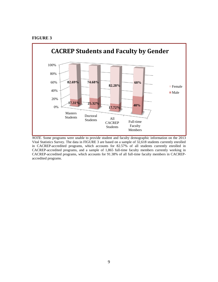#### **FIGURE 3**



*NOTE*. Some programs were unable to provide student and faculty demographic information on the 2013 Vital Statistics Survey. The data in FIGURE 3 are based on a sample of 32,618 students currently enrolled in CACREP-accredited programs, which accounts for 82.57% of all students currently enrolled in CACREP-accredited programs, and a sample of 1,865 full-time faculty members currently working in CACREP-accredited programs, which accounts for 91.38% of all full-time faculty members in CACREPaccredited programs.